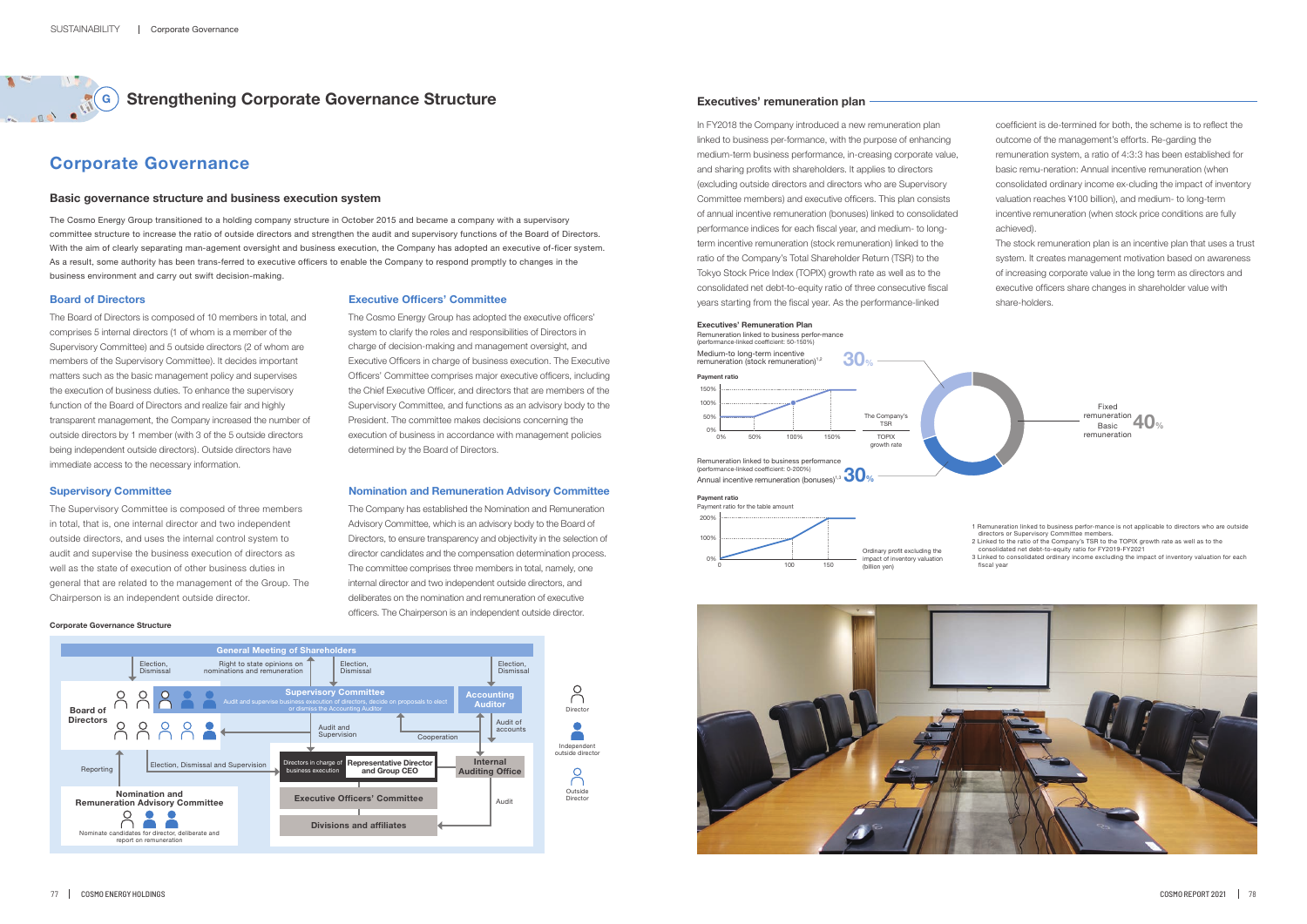#### **Board of Directors**

#### **Supervisory Committee**

# **Corporate Governance**

## **Basic governance structure and business execution system**

The Cosmo Energy Group transitioned to a holding company structure in October 2015 and became a company with a supervisory committee structure to increase the ratio of outside directors and strengthen the audit and supervisory functions of the Board of Directors. With the aim of clearly separating man-agement oversight and business execution, the Company has adopted an executive of-ficer system. As a result, some authority has been trans-ferred to executive officers to enable the Company to respond promptly to changes in the business environment and carry out swift decision-making.

> Election, Dismiss

> > Outside Director

#### **Corporate Governance Structure**

**Accounting Auditor**

**Internal Auditing Office**

**Executive Officers' Committee**

**Divisions and affiliates**



Election, Dismissal and Supervision

Audit of accounts

Audit

Reporting



Directors in charge of business execution

**Representative Director and Group CEO**

1 Remuneration linked to business perfor-mance is not applicable to directors who are outside directors or Supervisory Committee members.

2 Linked to the ratio of the Company's TSR to the TOPIX growth rate as well as to the consolidated net debt-to-equity ratio for FY2019-FY2021 3 Linked to consolidated ordinary income excluding the impact of inventory valuation for each

fiscal year







#### **Executives' Remuneration Plan**

**G**

**Nomination and Remuneration Advisory Committee**

C

Nominate candidates for director, deliberate and report on remuneration

 $\blacksquare$ 

# **Strengthening Corporate Governance Structure**

The Board of Directors is composed of 10 members in total, and comprises 5 internal directors (1 of whom is a member of the Supervisory Committee) and 5 outside directors (2 of whom are members of the Supervisory Committee). It decides important matters such as the basic management policy and supervises the execution of business duties. To enhance the supervisory function of the Board of Directors and realize fair and highly transparent management, the Company increased the number of outside directors by 1 member (with 3 of the 5 outside directors being independent outside directors). Outside directors have immediate access to the necessary information.

The Supervisory Committee is composed of three members in total, that is, one internal director and two independent outside directors, and uses the internal control system to audit and supervise the business execution of directors as well as the state of execution of other business duties in general that are related to the management of the Group. The Chairperson is an independent outside director.

The Cosmo Energy Group has adopted the executive officers' system to clarify the roles and responsibilities of Directors in charge of decision-making and management oversight, and Executive Officers in charge of business execution. The Executive Officers' Committee comprises major executive officers, including the Chief Executive Officer, and directors that are members of the Supervisory Committee, and functions as an advisory body to the President. The committee makes decisions concerning the execution of business in accordance with management policies determined by the Board of Directors.

The Company has established the Nomination and Remuneration Advisory Committee, which is an advisory body to the Board of Directors, to ensure transparency and objectivity in the selection of director candidates and the compensation determination process. The committee comprises three members in total, namely, one internal director and two independent outside directors, and deliberates on the nomination and remuneration of executive officers. The Chairperson is an independent outside director.

# **Executive Officers' Committee**

## **Nomination and Remuneration Advisory Committee**

#### **Executives' remuneration plan**

In FY2018 the Company introduced a new remuneration plan linked to business per-formance, with the purpose of enhancing medium-term business performance, in-creasing corporate value, and sharing profits with shareholders. It applies to directors (excluding outside directors and directors who are Supervisory Committee members) and executive officers. This plan consists of annual incentive remuneration (bonuses) linked to consolidated performance indices for each fiscal year, and medium- to longterm incentive remuneration (stock remuneration) linked to the ratio of the Company's Total Shareholder Return (TSR) to the Tokyo Stock Price Index (TOPIX) growth rate as well as to the consolidated net debt-to-equity ratio of three consecutive fiscal years starting from the fiscal year. As the performance-linked

coefficient is de-termined for both, the scheme is to reflect the outcome of the management's efforts. Re-garding the remuneration system, a ratio of 4:3:3 has been established for basic remu-neration: Annual incentive remuneration (when consolidated ordinary income ex-cluding the impact of inventory valuation reaches ¥100 billion), and medium- to long-term incentive remuneration (when stock price conditions are fully achieved).

The stock remuneration plan is an incentive plan that uses a trust system. It creates management motivation based on awareness of increasing corporate value in the long term as directors and executive officers share changes in shareholder value with share-holders.